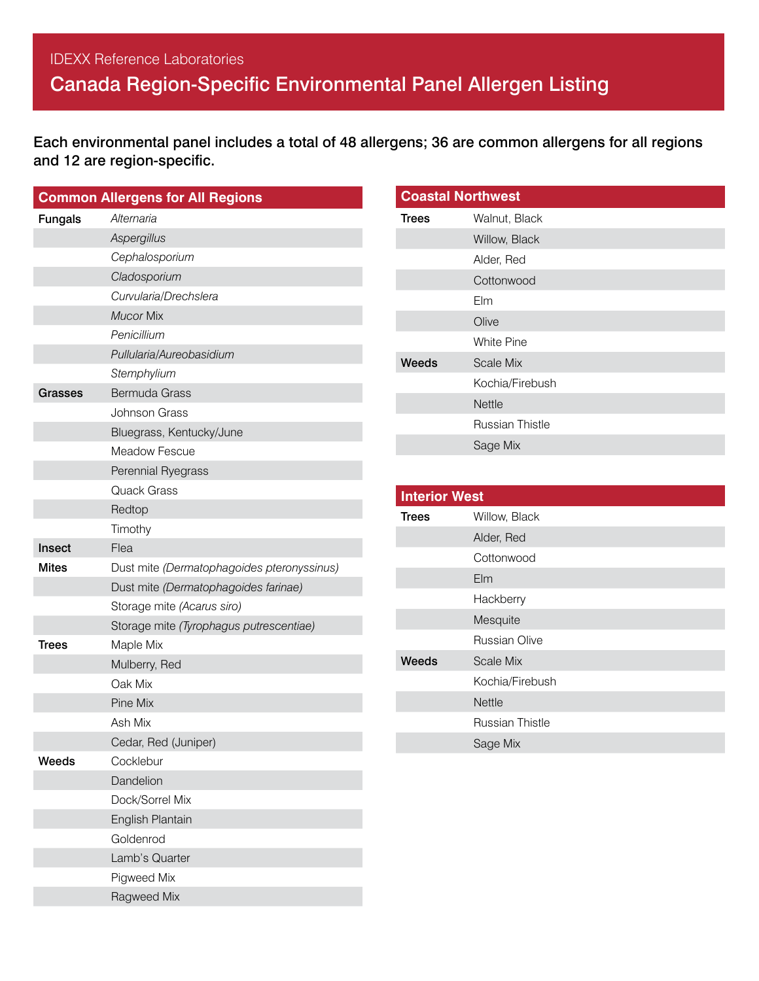## IDEXX Reference Laboratories Canada Region-Specific Environmental Panel Allergen Listing

Each environmental panel includes a total of 48 allergens; 36 are common allergens for all regions and 12 are region-specific.

|                | <b>Common Allergens for All Regions</b>    |
|----------------|--------------------------------------------|
| <b>Fungals</b> | Alternaria                                 |
|                | Aspergillus                                |
|                | Cephalosporium                             |
|                | Cladosporium                               |
|                | Curvularia/Drechslera                      |
|                | <b>Mucor Mix</b>                           |
|                | Penicillium                                |
|                | Pullularia/Aureobasidium                   |
|                | Stemphylium                                |
| Grasses        | <b>Bermuda Grass</b>                       |
|                | <b>Johnson Grass</b>                       |
|                | Bluegrass, Kentucky/June                   |
|                | <b>Meadow Fescue</b>                       |
|                | Perennial Ryegrass                         |
|                | <b>Quack Grass</b>                         |
|                | Redtop                                     |
|                | Timothy                                    |
| Insect         | Flea                                       |
| <b>Mites</b>   | Dust mite (Dermatophagoides pteronyssinus) |
|                | Dust mite (Dermatophagoides farinae)       |
|                | Storage mite (Acarus siro)                 |
|                | Storage mite (Tyrophagus putrescentiae)    |
| Trees          | Maple Mix                                  |
|                | Mulberry, Red                              |
|                | Oak Mix                                    |
|                | Pine Mix                                   |
|                | Ash Mix                                    |
|                | Cedar, Red (Juniper)                       |
| Weeds          | Cocklebur                                  |
|                | Dandelion                                  |
|                | Dock/Sorrel Mix                            |
|                | English Plantain                           |
|                | Goldenrod                                  |
|                | Lamb's Quarter                             |
|                | Pigweed Mix                                |
|                | Ragweed Mix                                |

| <b>Coastal Northwest</b> |                        |  |
|--------------------------|------------------------|--|
| Trees                    | Walnut, Black          |  |
|                          | Willow, Black          |  |
|                          | Alder, Red             |  |
|                          | Cottonwood             |  |
|                          | Elm                    |  |
|                          | Olive                  |  |
|                          | White Pine             |  |
| Weeds                    | Scale Mix              |  |
|                          | Kochia/Firebush        |  |
|                          | <b>Nettle</b>          |  |
|                          | <b>Russian Thistle</b> |  |
|                          | Sage Mix               |  |

| <b>Interior West</b> |                        |  |
|----------------------|------------------------|--|
| <b>Trees</b>         | Willow, Black          |  |
|                      | Alder, Red             |  |
|                      | Cottonwood             |  |
|                      | $E$ Im                 |  |
|                      | Hackberry              |  |
|                      | Mesquite               |  |
|                      | Russian Olive          |  |
| Weeds                | Scale Mix              |  |
|                      | Kochia/Firebush        |  |
|                      | <b>Nettle</b>          |  |
|                      | <b>Russian Thistle</b> |  |
|                      | Sage Mix               |  |